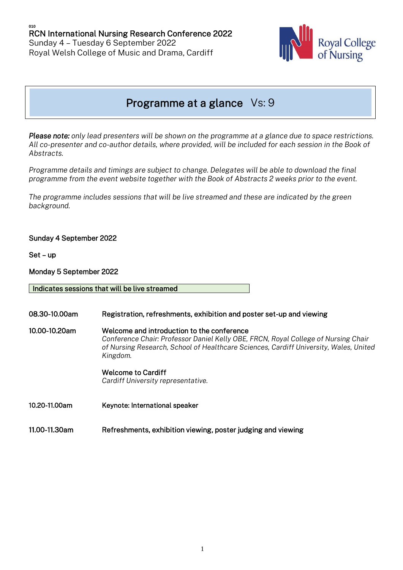

# Programme at a glance Vs: 9

*Please note: only lead presenters will be shown on the programme at a glance due to space restrictions. All co-presenter and co-author details, where provided, will be included for each session in the Book of Abstracts.* 

*Programme details and timings are subject to change. Delegates will be able to download the final programme from the event website together with the Book of Abstracts 2 weeks prior to the event.*

*The programme includes sessions that will be live streamed and these are indicated by the green background.* 

## Sunday 4 September 2022

Set – up

Monday 5 September 2022

Indicates sessions that will be live streamed

08.30-10.00am Registration, refreshments, exhibition and poster set-up and viewing 10.00-10.20am Welcome and introduction to the conference *Conference Chair: Professor Daniel Kelly OBE, FRCN, Royal College of Nursing Chair of Nursing Research, School of Healthcare Sciences, Cardiff University, Wales, United Kingdom.* Welcome to Cardiff

*Cardiff University representative.* 

10.20-11.00am Keynote: International speaker

11.00-11.30am Refreshments, exhibition viewing, poster judging and viewing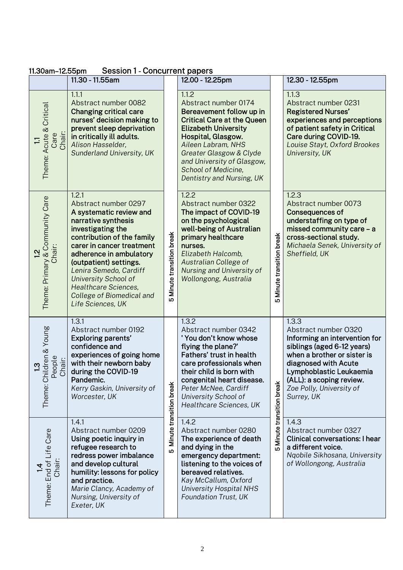| 11.30am-12.55pm                                                           | Session T-Concurrent papers<br>11.30 - 11.55am                                                                                                                                                                                                                                                                                                                 |                              | 12.00 - 12.25pm                                                                                                                                                                                                                                                                        |                              | 12.30 - 12.55pm                                                                                                                                                                                                                                      |
|---------------------------------------------------------------------------|----------------------------------------------------------------------------------------------------------------------------------------------------------------------------------------------------------------------------------------------------------------------------------------------------------------------------------------------------------------|------------------------------|----------------------------------------------------------------------------------------------------------------------------------------------------------------------------------------------------------------------------------------------------------------------------------------|------------------------------|------------------------------------------------------------------------------------------------------------------------------------------------------------------------------------------------------------------------------------------------------|
| Critical<br>Acute &<br>Chair:<br>Care<br>Ξ<br>Theme:                      | 1.1.1<br>Abstract number 0082<br><b>Changing critical care</b><br>nurses' decision making to<br>prevent sleep deprivation<br>in critically ill adults.<br>Alison Hasselder,<br>Sunderland University, UK                                                                                                                                                       |                              | 1.1.2<br>Abstract number 0174<br>Bereavement follow up in<br><b>Critical Care at the Queen</b><br><b>Elizabeth University</b><br>Hospital, Glasgow.<br>Aileen Labram, NHS<br>Greater Glasgow & Clyde<br>and University of Glasgow,<br>School of Medicine,<br>Dentistry and Nursing, UK |                              | 1.1.3<br>Abstract number 0231<br><b>Registered Nurses'</b><br>experiences and perceptions<br>of patient safety in Critical<br>Care during COVID-19.<br>Louise Stayt, Oxford Brookes<br>University, UK                                                |
| <b>Community Care</b><br>Chair:<br>$\frac{1}{2}$<br>Theme: Primary &      | 1.2.1<br>Abstract number 0297<br>A systematic review and<br>narrative synthesis<br>investigating the<br>contribution of the family<br>carer in cancer treatment<br>adherence in ambulatory<br>(outpatient) settings.<br>Lenira Semedo, Cardiff<br><b>University School of</b><br><b>Healthcare Sciences,</b><br>College of Biomedical and<br>Life Sciences, UK | Minute transition break<br>Ю | 1.2.2<br>Abstract number 0322<br>The impact of COVID-19<br>on the psychological<br>well-being of Australian<br>primary healthcare<br>nurses.<br>Elizabeth Halcomb,<br>Australian College of<br>Nursing and University of<br>Wollongong, Australia                                      | Minute transition break<br>Ю | 1.2.3<br>Abstract number 0073<br><b>Consequences of</b><br>understaffing on type of<br>missed community care - a<br>cross-sectional study.<br>Michaela Senek, University of<br>Sheffield, UK                                                         |
| ildren & Young<br>eople<br>People<br>Chair:<br>$\frac{3}{2}$<br>Theme: Ch | 1.3.1<br>Abstract number 0192<br><b>Exploring parents'</b><br>confidence and<br>experiences of going home<br>with their newborn baby<br>during the COVID-19<br>Pandemic.<br>Kerry Gaskin, University of<br>Worcester, UK                                                                                                                                       | Minute transition break      | 1.3.2<br>Abstract number 0342<br>'You don't know whose<br>flying the plane?'<br>Fathers' trust in health<br>care professionals when<br>their child is born with<br>congenital heart disease.<br>Peter McNee, Cardiff<br>University School of<br>Healthcare Sciences, UK                | Minute transition break      | 1.3.3<br>Abstract number 0320<br>Informing an intervention for<br>siblings (aged 6-12 years)<br>when a brother or sister is<br>diagnosed with Acute<br>Lymphoblastic Leukaemia<br>(ALL): a scoping review.<br>Zoe Polly, University of<br>Surrey, UK |
| Theme: End of Life Care<br>Chair:                                         | 1.4.1<br>Abstract number 0209<br>Using poetic inquiry in<br>refugee research to<br>redress power imbalance<br>and develop cultural<br>humility: lessons for policy<br>and practice.<br>Marie Clancy, Academy of<br>Nursing, University of<br>Exeter, UK                                                                                                        | ω                            | 1.4.2<br>Abstract number 0280<br>The experience of death<br>and dying in the<br>emergency department:<br>listening to the voices of<br>bereaved relatives.<br>Kay McCallum, Oxford<br><b>University Hospital NHS</b><br><b>Foundation Trust, UK</b>                                    | Ю                            | 1.4.3<br>Abstract number 0327<br><b>Clinical conversations: I hear</b><br>a different voice.<br>Nqobile Sikhosana, University<br>of Wollongong, Australia                                                                                            |

## 11.30am–12.55pm Session 1 - Concurrent papers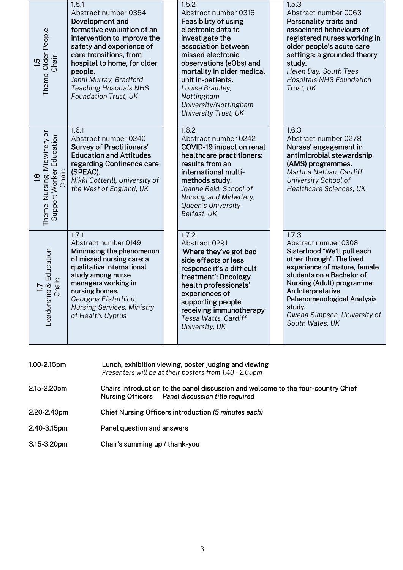| 1.5<br>Theme: Older People<br>Chair:                                                                                           | 1.5.1<br>Abstract number 0354<br>Development and<br>formative evaluation of an<br>intervention to improve the<br>safety and experience of<br>care transitions, from<br>hospital to home, for older<br>people.<br>Jenni Murray, Bradford<br><b>Teaching Hospitals NHS</b><br>Foundation Trust, UK |  | 1.5.2<br>Abstract number 0316<br>Feasibility of using<br>electronic data to<br>investigate the<br>association between<br>missed electronic<br>observations (eObs) and<br>mortality in older medical<br>unit in-patients.<br>Louise Bramley,<br>Nottingham<br>University/Nottingham<br><b>University Trust, UK</b> |  | 1.5.3<br>Abstract number 0063<br>Personality traits and<br>associated behaviours of<br>registered nurses working in<br>older people's acute care<br>settings: a grounded theory<br>study.<br>Helen Day, South Tees<br><b>Hospitals NHS Foundation</b><br>Trust, UK                                   |
|--------------------------------------------------------------------------------------------------------------------------------|--------------------------------------------------------------------------------------------------------------------------------------------------------------------------------------------------------------------------------------------------------------------------------------------------|--|-------------------------------------------------------------------------------------------------------------------------------------------------------------------------------------------------------------------------------------------------------------------------------------------------------------------|--|------------------------------------------------------------------------------------------------------------------------------------------------------------------------------------------------------------------------------------------------------------------------------------------------------|
| <b>1.6</b><br>Theme: Nursing, Midwifery or<br>Support Worker Education<br>Chair:                                               | 1.6.1<br>Abstract number 0240<br><b>Survey of Practitioners'</b><br><b>Education and Attitudes</b><br>regarding Continence care<br>(SPEAC).<br>Nikki Cotterill, University of<br>the West of England, UK                                                                                         |  | 1.6.2<br>Abstract number 0242<br>COVID-19 impact on renal<br>healthcare practitioners:<br>results from an<br>international multi-<br>methods study.<br>Joanne Reid, School of<br>Nursing and Midwifery,<br>Queen's University<br>Belfast, UK                                                                      |  | 1.6.3<br>Abstract number 0278<br>Nurses' engagement in<br>antimicrobial stewardship<br>(AMS) programmes.<br>Martina Nathan, Cardiff<br>University School of<br>Healthcare Sciences, UK                                                                                                               |
| hip & Education<br>Chair:<br>Leaders                                                                                           | 1.7.1<br>Abstract number 0149<br>Minimising the phenomenon<br>of missed nursing care: a<br>qualitative international<br>study among nurse<br>managers working in<br>nursing homes.<br>Georgios Efstathiou,<br><b>Nursing Services, Ministry</b><br>of Health, Cyprus                             |  | 1.7.2<br>Abstract 0291<br>'Where they've got bad<br>side effects or less<br>response it's a difficult<br>treatment': Oncology<br>health professionals'<br>experiences of<br>supporting people<br>receiving immunotherapy<br>Tessa Watts, Cardiff<br>University, UK                                                |  | 1.7.3<br>Abstract number 0308<br>Sisterhood "We'll pull each<br>other through". The lived<br>experience of mature, female<br>students on a Bachelor of<br>Nursing (Adult) programme:<br>An Interpretative<br>Pehenomenological Analysis<br>study.<br>Owena Simpson, University of<br>South Wales, UK |
| 1.00-2.15pm<br>Lunch, exhibition viewing, poster judging and viewing<br>Presenters will be at their posters from 1.40 - 2.05pm |                                                                                                                                                                                                                                                                                                  |  |                                                                                                                                                                                                                                                                                                                   |  |                                                                                                                                                                                                                                                                                                      |

- 2.15-2.20pm Chairs introduction to the panel discussion and welcome to the four-country Chief Nursing Officers *Panel discussion title required*
- 2.20-2.40pm 2.20-2.40pm Chief Nursing Officers introduction *(5 minutes each)*
- 2.40-3.15pm Panel question and answers
- 3.15-3.20pm Chair's summing up / thank-you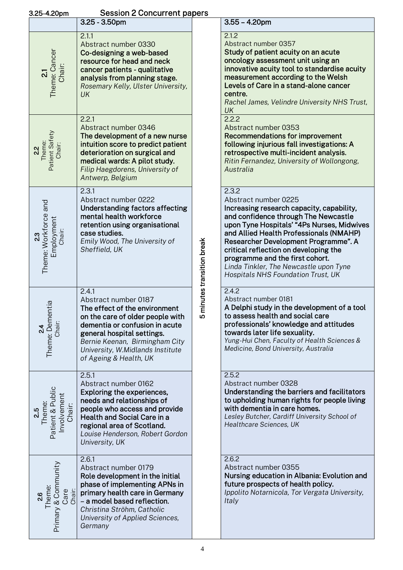| <b>Session 2 Concurrent papers</b><br>3.25-4.20pm          |                                                                                                                                                                                                                                                                    |                          |                                                                                                                                                                                                                                                                                                                                                                                                                 |  |  |  |  |
|------------------------------------------------------------|--------------------------------------------------------------------------------------------------------------------------------------------------------------------------------------------------------------------------------------------------------------------|--------------------------|-----------------------------------------------------------------------------------------------------------------------------------------------------------------------------------------------------------------------------------------------------------------------------------------------------------------------------------------------------------------------------------------------------------------|--|--|--|--|
|                                                            | $3.25 - 3.50$ pm                                                                                                                                                                                                                                                   |                          | $3.55 - 4.20$ pm                                                                                                                                                                                                                                                                                                                                                                                                |  |  |  |  |
| Theme: Cancer<br>Chair:<br>$\overline{\mathbf{S}}$         | 2.1.1<br>Abstract number 0330<br>Co-designing a web-based<br>resource for head and neck<br>cancer patients - qualitative<br>analysis from planning stage.<br>Rosemary Kelly, Ulster University,<br>UK                                                              |                          | 2.1.2<br>Abstract number 0357<br>Study of patient acuity on an acute<br>oncology assessment unit using an<br>innovative acuity tool to standardise acuity<br>measurement according to the Welsh<br>Levels of Care in a stand-alone cancer<br>centre.<br>Rachel James, Velindre University NHS Trust,<br>UK                                                                                                      |  |  |  |  |
| Patient Safety<br>2.2<br>Theme:<br>Chair:                  | 2.2.1<br>Abstract number 0346<br>The development of a new nurse<br>intuition score to predict patient<br>deterioration on surgical and<br>medical wards: A pilot study.<br>Filip Haegdorens, University of<br>Antwerp, Belgium                                     |                          | 2.2.2<br>Abstract number 0353<br><b>Recommendations for improvement</b><br>following injurious fall investigations: A<br>retrospective multi-incident analysis.<br>Ritin Fernandez, University of Wollongong,<br>Australia                                                                                                                                                                                      |  |  |  |  |
| Theme: Workforce and<br>Employment<br>Chair:<br>23         | 2.3.1<br>Abstract number 0222<br>Understanding factors affecting<br>mental health workforce<br>retention using organisational<br>case studies.<br>Emily Wood, The University of<br>Sheffield, UK                                                                   | minutes transition break | 2.3.2<br>Abstract number 0225<br>Increasing research capacity, capability,<br>and confidence through The Newcastle<br>upon Tyne Hospitals' "4Ps Nurses, Midwives<br>and Allied Health Professionals (NMAHP)<br>Researcher Development Programme". A<br>critical reflection on developing the<br>programme and the first cohort.<br>Linda Tinkler, The Newcastle upon Tyne<br>Hospitals NHS Foundation Trust, UK |  |  |  |  |
| ntia<br>Theme: Deme<br>Chair:<br>$\frac{24}{5}$            | 2.4.1<br>Abstract number 0187<br>The effect of the environment<br>on the care of older people with<br>dementia or confusion in acute<br>general hospital settings.<br>Bernie Keenan, Birmingham City<br>University, W.Midlands Institute<br>of Ageing & Health, UK | Ю                        | 2.4.2<br>Abstract number 0181<br>A Delphi study in the development of a tool<br>to assess health and social care<br>professionals' knowledge and attitudes<br>towards later life sexuality.<br>Yung-Hui Chen, Faculty of Health Sciences &<br>Medicine, Bond University, Australia                                                                                                                              |  |  |  |  |
| Patient & Public<br>Involvement<br>2.5<br>Theme:<br>Chair: | 2.5.1<br>Abstract number 0162<br>Exploring the experiences,<br>needs and relationships of<br>people who access and provide<br><b>Health and Social Care in a</b><br>regional area of Scotland.<br>Louise Henderson, Robert Gordon<br>University, UK                |                          | 2.5.2<br>Abstract number 0328<br>Understanding the barriers and facilitators<br>to upholding human rights for people living<br>with dementia in care homes.<br>Lesley Butcher, Cardiff University School of<br>Healthcare Sciences, UK                                                                                                                                                                          |  |  |  |  |
| Primary & Community<br>Theme:<br>Care<br>Chair:<br>26      | 2.6.1<br>Abstract number 0179<br>Role development in the initial<br>phase of implementing APNs in<br>primary health care in Germany<br>- a model based reflection.<br>Christina Ströhm, Catholic<br>University of Applied Sciences,<br>Germany                     |                          | 2.6.2<br>Abstract number 0355<br>Nursing education in Albania: Evolution and<br>future prospects of health policy.<br>Ippolito Notarnicola, Tor Vergata University,<br>Italy                                                                                                                                                                                                                                    |  |  |  |  |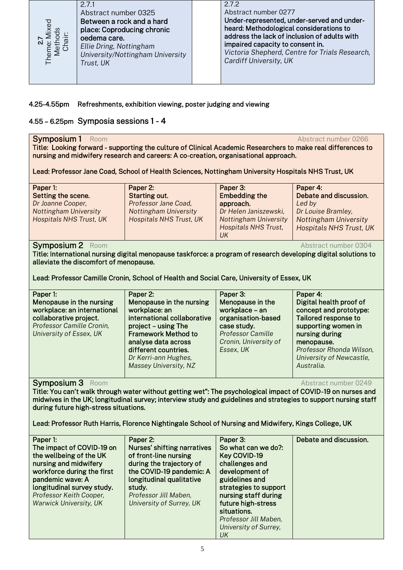

## 4.25-4.55pm Refreshments, exhibition viewing, poster judging and viewing

## 4.55 – 6.25pm Symposia sessions 1 - 4

#### Symposium 1 Room Abstract number 0266

| Paper 1:                     | Paper 2:                       | Paper 3:                     | Paper 4:                       |
|------------------------------|--------------------------------|------------------------------|--------------------------------|
| Setting the scene.           | Starting out.                  | <b>Embedding the</b>         | Debate and discussion.         |
| Dr Joanne Cooper,            | Professor Jane Coad,           | approach.                    | Led by                         |
| <b>Nottingham University</b> | <b>Nottingham University</b>   | Dr Helen Janiszewski,        | Dr Louise Bramley,             |
| Hospitals NHS Trust, UK      | <b>Hospitals NHS Trust, UK</b> | <b>Nottingham University</b> | <b>Nottingham University</b>   |
|                              |                                | Hospitals NHS Trust,         | <b>Hospitals NHS Trust, UK</b> |
|                              |                                | UK                           |                                |

## Symposium 2 Room Abstract number 0304

| Paper 1:<br>Menopause in the nursing<br>workplace: an international<br>collaborative project.<br>Professor Camille Cronin,<br>University of Essex, UK | Paper 2:<br>Menopause in the nursing<br>workplace: an<br>international collaborative<br>project - using The<br><b>Framework Method to</b><br>analyse data across<br>different countries.<br>Dr Kerri-ann Hughes,<br>Massey University, NZ | Paper 3:<br>Menopause in the<br>workplace - an<br>organisation-based<br>case study.<br><b>Professor Camille</b><br>Cronin, University of<br>Essex, UK | Paper 4:<br>Digital health proof of<br>concept and prototype:<br>Tailored response to<br>supporting women in<br>nursing during<br>menopause.<br>Professor Rhonda Wilson,<br>University of Newcastle,<br>Australia. |
|-------------------------------------------------------------------------------------------------------------------------------------------------------|-------------------------------------------------------------------------------------------------------------------------------------------------------------------------------------------------------------------------------------------|-------------------------------------------------------------------------------------------------------------------------------------------------------|--------------------------------------------------------------------------------------------------------------------------------------------------------------------------------------------------------------------|
|-------------------------------------------------------------------------------------------------------------------------------------------------------|-------------------------------------------------------------------------------------------------------------------------------------------------------------------------------------------------------------------------------------------|-------------------------------------------------------------------------------------------------------------------------------------------------------|--------------------------------------------------------------------------------------------------------------------------------------------------------------------------------------------------------------------|

## Symposium 3 Room Abstract number 0249

| 2<br>Theme:<br>Meth<br>Cha<br>Trust, UK                                                                                                                                                                                                                                                                                                                                                                                             | Ellie Dring, Nottingham<br>University/Nottingham University                                                                                                                                                                               | impaired capacity to consent in.<br>Victoria Shepherd, Centre for Trials Research,<br>Cardiff University, UK                                                                                                                                        |                                                                                                                                                                                                                    |  |  |  |  |  |
|-------------------------------------------------------------------------------------------------------------------------------------------------------------------------------------------------------------------------------------------------------------------------------------------------------------------------------------------------------------------------------------------------------------------------------------|-------------------------------------------------------------------------------------------------------------------------------------------------------------------------------------------------------------------------------------------|-----------------------------------------------------------------------------------------------------------------------------------------------------------------------------------------------------------------------------------------------------|--------------------------------------------------------------------------------------------------------------------------------------------------------------------------------------------------------------------|--|--|--|--|--|
| 4.25-4.55pm<br>Refreshments, exhibition viewing, poster judging and viewing<br>4.55 - 6.25pm Symposia sessions 1 - 4                                                                                                                                                                                                                                                                                                                |                                                                                                                                                                                                                                           |                                                                                                                                                                                                                                                     |                                                                                                                                                                                                                    |  |  |  |  |  |
| Symposium 1<br>Room<br>Abstract number 0266<br>Title: Looking forward - supporting the culture of Clinical Academic Researchers to make real differences to<br>nursing and midwifery research and careers: A co-creation, organisational approach.<br>Lead: Professor Jane Coad, School of Health Sciences, Nottingham University Hospitals NHS Trust, UK                                                                           |                                                                                                                                                                                                                                           |                                                                                                                                                                                                                                                     |                                                                                                                                                                                                                    |  |  |  |  |  |
| Paper 1:<br>Setting the scene.<br>Dr Joanne Cooper,<br><b>Nottingham University</b><br><b>Hospitals NHS Trust, UK</b>                                                                                                                                                                                                                                                                                                               | Paper 2:<br><b>Starting out.</b><br>Professor Jane Coad,<br><b>Nottingham University</b><br><b>Hospitals NHS Trust, UK</b>                                                                                                                | Paper 3:<br><b>Embedding the</b><br>approach.<br>Dr Helen Janiszewski,<br><b>Nottingham University</b><br>Hospitals NHS Trust,<br>UK                                                                                                                | Paper 4:<br>Debate and discussion.<br>Led by<br>Dr Louise Bramley,<br><b>Nottingham University</b><br><b>Hospitals NHS Trust, UK</b>                                                                               |  |  |  |  |  |
| <b>Symposium 2</b> Room<br>Abstract number 0304<br>Title: International nursing digital menopause taskforce: a program of research developing digital solutions to<br>alleviate the discomfort of menopause.<br>Lead: Professor Camille Cronin, School of Health and Social Care, University of Essex, UK                                                                                                                           |                                                                                                                                                                                                                                           |                                                                                                                                                                                                                                                     |                                                                                                                                                                                                                    |  |  |  |  |  |
| Paper 1:<br>Menopause in the nursing<br>workplace: an international<br>collaborative project.<br>Professor Camille Cronin,<br>University of Essex, UK                                                                                                                                                                                                                                                                               | Paper 2:<br>Menopause in the nursing<br>workplace: an<br>international collaborative<br>project - using The<br><b>Framework Method to</b><br>analyse data across<br>different countries.<br>Dr Kerri-ann Hughes,<br>Massey University, NZ | Paper 3:<br>Menopause in the<br>workplace - an<br>organisation-based<br>case study.<br><b>Professor Camille</b><br>Cronin, University of<br>Essex, UK                                                                                               | Paper 4:<br>Digital health proof of<br>concept and prototype:<br>Tailored response to<br>supporting women in<br>nursing during<br>menopause.<br>Professor Rhonda Wilson,<br>University of Newcastle,<br>Australia. |  |  |  |  |  |
| <b>Symposium 3</b> Room<br>Abstract number 0249<br>Title: You can't walk through water without getting wet": The psychological impact of COVID-19 on nurses and<br>midwives in the UK; longitudinal survey; interview study and guidelines and strategies to support nursing staff<br>during future high-stress situations.<br>Lead: Professor Ruth Harris, Florence Nightingale School of Nursing and Midwifery, Kings College, UK |                                                                                                                                                                                                                                           |                                                                                                                                                                                                                                                     |                                                                                                                                                                                                                    |  |  |  |  |  |
| Paper 1:<br>The impact of COVID-19 on<br>the wellbeing of the UK<br>nursing and midwifery<br>workforce during the first<br>pandemic wave: A<br>longitudinal survey study.<br>Professor Keith Cooper,<br><b>Warwick University, UK</b>                                                                                                                                                                                               | Paper 2:<br><b>Nurses' shifting narratives</b><br>of front-line nursing<br>during the trajectory of<br>the COVID-19 pandemic: A<br>longitudinal qualitative<br>study.<br>Professor Jill Maben,<br>University of Surrey, UK                | Paper 3:<br>So what can we do?:<br>Key COVID-19<br>challenges and<br>development of<br>guidelines and<br>strategies to support<br>nursing staff during<br>future high-stress<br>situations.<br>Professor Jill Maben,<br>University of Surrey,<br>UK | Debate and discussion.                                                                                                                                                                                             |  |  |  |  |  |
|                                                                                                                                                                                                                                                                                                                                                                                                                                     |                                                                                                                                                                                                                                           | 5                                                                                                                                                                                                                                                   |                                                                                                                                                                                                                    |  |  |  |  |  |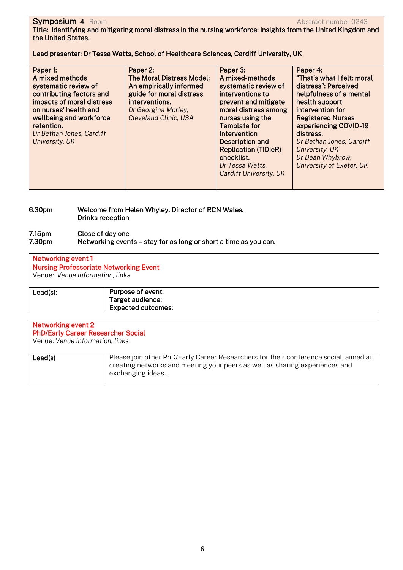## Symposium 4 Room **Abstract number 0243** and the symposium Abstract number 0243 Title: Identifying and mitigating moral distress in the nursing workforce: insights from the United Kingdom and the United States.

Lead presenter: Dr Tessa Watts, School of Healthcare Sciences, Cardiff University, UK

| Paper 1:<br>A mixed methods<br>systematic review of<br>contributing factors and<br>impacts of moral distress<br>on nurses' health and<br>wellbeing and workforce | Paper 2:<br>The Moral Distress Model:<br>An empirically informed<br>guide for moral distress<br>interventions.<br>Dr Georgina Morley,<br><b>Cleveland Clinic, USA</b> | Paper 3:<br>A mixed-methods<br>systematic review of<br>interventions to<br>prevent and mitigate<br>moral distress among<br>nurses using the | Paper 4:<br>"That's what I felt: moral<br>distress": Perceived<br>helpfulness of a mental<br>health support<br>intervention for<br><b>Registered Nurses</b> |
|------------------------------------------------------------------------------------------------------------------------------------------------------------------|-----------------------------------------------------------------------------------------------------------------------------------------------------------------------|---------------------------------------------------------------------------------------------------------------------------------------------|-------------------------------------------------------------------------------------------------------------------------------------------------------------|
|                                                                                                                                                                  |                                                                                                                                                                       |                                                                                                                                             |                                                                                                                                                             |
|                                                                                                                                                                  |                                                                                                                                                                       |                                                                                                                                             |                                                                                                                                                             |
|                                                                                                                                                                  |                                                                                                                                                                       |                                                                                                                                             |                                                                                                                                                             |
|                                                                                                                                                                  |                                                                                                                                                                       |                                                                                                                                             |                                                                                                                                                             |
|                                                                                                                                                                  |                                                                                                                                                                       |                                                                                                                                             |                                                                                                                                                             |
| retention.                                                                                                                                                       |                                                                                                                                                                       | <b>Template for</b>                                                                                                                         | experiencing COVID-19                                                                                                                                       |
| Dr Bethan Jones, Cardiff                                                                                                                                         |                                                                                                                                                                       | Intervention                                                                                                                                | distress.                                                                                                                                                   |
| University, UK                                                                                                                                                   |                                                                                                                                                                       | Description and                                                                                                                             | Dr Bethan Jones, Cardiff                                                                                                                                    |
|                                                                                                                                                                  |                                                                                                                                                                       | <b>Replication (TIDieR)</b>                                                                                                                 | University, UK                                                                                                                                              |
|                                                                                                                                                                  |                                                                                                                                                                       | checklist.                                                                                                                                  | Dr Dean Whybrow,                                                                                                                                            |
|                                                                                                                                                                  |                                                                                                                                                                       | Dr Tessa Watts,                                                                                                                             | University of Exeter, UK                                                                                                                                    |
|                                                                                                                                                                  |                                                                                                                                                                       | <b>Cardiff University, UK</b>                                                                                                               |                                                                                                                                                             |
|                                                                                                                                                                  |                                                                                                                                                                       |                                                                                                                                             |                                                                                                                                                             |
|                                                                                                                                                                  |                                                                                                                                                                       |                                                                                                                                             |                                                                                                                                                             |

## 6.30pm Welcome from Helen Whyley, Director of RCN Wales. Drinks reception

#### 7.15pm Close of day one<br>7.30pm Networking even Networking events – stay for as long or short a time as you can.

## Networking event 1 Nursing Professoriate Networking Event Venue: *Venue information, links*  Lead(s): Purpose of event: Target audience: Expected outcomes:

| Networking event 2<br><b>PhD/Early Career Researcher Social</b><br>Venue: Venue information, links |                                                                                                                                                                                         |
|----------------------------------------------------------------------------------------------------|-----------------------------------------------------------------------------------------------------------------------------------------------------------------------------------------|
| Lead(s)                                                                                            | Please join other PhD/Early Career Researchers for their conference social, aimed at<br>creating networks and meeting your peers as well as sharing experiences and<br>exchanging ideas |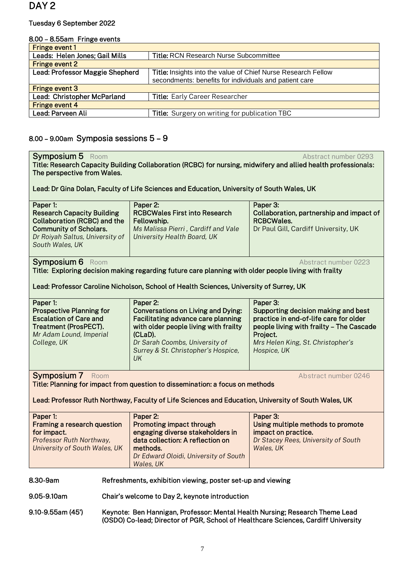## Tuesday 6 September 2022

#### 8.00 – 8.55am Fringe events

| <b>Fringe event 1</b>           |                                                               |  |  |  |  |
|---------------------------------|---------------------------------------------------------------|--|--|--|--|
| Leads: Helen Jones; Gail Mills  | <b>Title: RCN Research Nurse Subcommittee</b>                 |  |  |  |  |
| <b>Fringe event 2</b>           |                                                               |  |  |  |  |
| Lead: Professor Maggie Shepherd | Title: Insights into the value of Chief Nurse Research Fellow |  |  |  |  |
|                                 | secondments: benefits for individuals and patient care        |  |  |  |  |
| <b>Fringe event 3</b>           |                                                               |  |  |  |  |
| Lead: Christopher McParland     | <b>Title:</b> Early Career Researcher                         |  |  |  |  |
| <b>Fringe event 4</b>           |                                                               |  |  |  |  |
| Lead: Parveen Ali               | Title: Surgery on writing for publication TBC                 |  |  |  |  |
|                                 |                                                               |  |  |  |  |

## 8.00 – 9.00am Symposia sessions 5 – 9

| <b>Symposium 5</b> Room<br>Abstract number 0293<br>Title: Research Capacity Building Collaboration (RCBC) for nursing, midwifery and allied health professionals:                                                                        |                                                |                                                                                                                                                                                                                                       |                                                                                                                                                                                                       |  |  |
|------------------------------------------------------------------------------------------------------------------------------------------------------------------------------------------------------------------------------------------|------------------------------------------------|---------------------------------------------------------------------------------------------------------------------------------------------------------------------------------------------------------------------------------------|-------------------------------------------------------------------------------------------------------------------------------------------------------------------------------------------------------|--|--|
| The perspective from Wales.                                                                                                                                                                                                              |                                                |                                                                                                                                                                                                                                       |                                                                                                                                                                                                       |  |  |
|                                                                                                                                                                                                                                          |                                                | Lead: Dr Gina Dolan, Faculty of Life Sciences and Education, University of South Wales, UK                                                                                                                                            |                                                                                                                                                                                                       |  |  |
| Paper 1:<br>Paper 2:<br><b>Research Capacity Building</b><br><b>Collaboration (RCBC) and the</b><br>Fellowship.<br><b>Community of Scholars.</b><br>Dr Roiyah Saltus, University of<br>South Wales, UK                                   |                                                | <b>RCBCWales First into Research</b><br>Ms Malissa Pierri, Cardiff and Vale<br>University Health Board, UK                                                                                                                            | Paper 3:<br>Collaboration, partnership and impact of<br><b>RCBCWales.</b><br>Dr Paul Gill, Cardiff University, UK                                                                                     |  |  |
| <b>Symposium 6</b> Room                                                                                                                                                                                                                  |                                                | Title: Exploring decision making regarding future care planning with older people living with frailty                                                                                                                                 | Abstract number 0223                                                                                                                                                                                  |  |  |
|                                                                                                                                                                                                                                          |                                                | Lead: Professor Caroline Nicholson, School of Health Sciences, University of Surrey, UK                                                                                                                                               |                                                                                                                                                                                                       |  |  |
| Paper 1:<br><b>Prospective Planning for</b><br><b>Escalation of Care and</b><br><b>Treatment (ProsPECT).</b><br>Mr Adam Lound, Imperial<br>College, UK                                                                                   |                                                | Paper 2:<br><b>Conversations on Living and Dying:</b><br><b>Facilitating advance care planning</b><br>with older people living with frailty<br>(CLaD).<br>Dr Sarah Coombs, University of<br>Surrey & St. Christopher's Hospice,<br>UK | Paper 3:<br>Supporting decision making and best<br>practice in end-of-life care for older<br>people living with frailty - The Cascade<br>Project.<br>Mrs Helen King, St. Christopher's<br>Hospice, UK |  |  |
| <b>Symposium 7</b> Room<br>Abstract number 0246<br>Title: Planning for impact from question to dissemination: a focus on methods<br>Lead: Professor Ruth Northway, Faculty of Life Sciences and Education, University of South Wales, UK |                                                |                                                                                                                                                                                                                                       |                                                                                                                                                                                                       |  |  |
| Paper 1:<br>Framing a research question<br>for impact.<br>Professor Ruth Northway,<br>University of South Wales, UK                                                                                                                      |                                                | Paper 2:<br>Promoting impact through<br>engaging diverse stakeholders in<br>data collection: A reflection on<br>methods.<br>Dr Edward Oloidi, University of South<br>Wales, UK                                                        | Paper 3:<br>Using multiple methods to promote<br>impact on practice.<br>Dr Stacey Rees, University of South<br>Wales, UK                                                                              |  |  |
| Refreshments, exhibition viewing, poster set-up and viewing<br>8.30-9am                                                                                                                                                                  |                                                |                                                                                                                                                                                                                                       |                                                                                                                                                                                                       |  |  |
| 9.05-9.10am                                                                                                                                                                                                                              | Chair's welcome to Day 2, keynote introduction |                                                                                                                                                                                                                                       |                                                                                                                                                                                                       |  |  |
| 9.10-9.55am (45')<br>Keynote: Ben Hannigan, Professor: Mental Health Nursing; Research Theme Lead<br>(OSDO) Co-lead; Director of PGR, School of Healthcare Sciences, Cardiff University                                                  |                                                |                                                                                                                                                                                                                                       |                                                                                                                                                                                                       |  |  |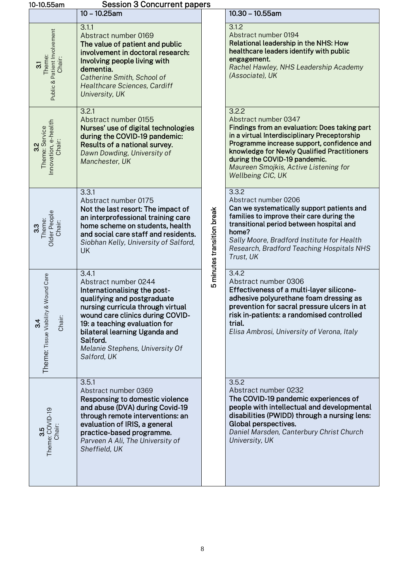|     | 10-10.55am                                                                  | <b>Session 3 Concurrent papers</b>                                                                                                                                                                                                                                                                    |                            |                                                                                                                                                                                                                                                                                                                            |
|-----|-----------------------------------------------------------------------------|-------------------------------------------------------------------------------------------------------------------------------------------------------------------------------------------------------------------------------------------------------------------------------------------------------|----------------------------|----------------------------------------------------------------------------------------------------------------------------------------------------------------------------------------------------------------------------------------------------------------------------------------------------------------------------|
|     |                                                                             | $10 - 10.25$ am                                                                                                                                                                                                                                                                                       |                            | $10.30 - 10.55$ am                                                                                                                                                                                                                                                                                                         |
|     | Public & Patient Involvement<br>Theme:<br>Chair:<br>$\overline{\mathrm{s}}$ | 3.1.1<br>Abstract number 0169<br>The value of patient and public<br>involvement in doctoral research:<br>Involving people living with<br>dementia.<br>Catherine Smith, School of<br>Healthcare Sciences, Cardiff<br>University, UK                                                                    |                            | 3.1.2<br>Abstract number 0194<br>Relational leadership in the NHS: How<br>healthcare leaders identify with public<br>engagement.<br>Rachel Hawley, NHS Leadership Academy<br>(Associate), UK                                                                                                                               |
| 32  | nnovation, e-health<br>Theme: Service<br>Chair:                             | 3.2.1<br>Abstract number 0155<br>Nurses' use of digital technologies<br>during the COVID-19 pandemic:<br>Results of a national survey.<br>Dawn Dowding, University of<br>Manchester, UK                                                                                                               |                            | 3.2.2<br>Abstract number 0347<br>Findings from an evaluation: Does taking part<br>in a virtual Interdisciplinary Preceptorship<br>Programme increase support, confidence and<br>knowledge for Newly Qualified Practitioners<br>during the COVID-19 pandemic.<br>Maureen Smojkis, Active Listening for<br>Wellbeing CIC, UK |
| 3.3 | Older People<br>Theme:<br>Chair:                                            | 3.3.1<br>Abstract number 0175<br>Not the last resort: The impact of<br>an interprofessional training care<br>home scheme on students, health<br>and social care staff and residents.<br>Siobhan Kelly, University of Salford,<br><b>UK</b>                                                            | 5 minutes transition break | 3.3.2<br>Abstract number 0206<br>Can we systematically support patients and<br>families to improve their care during the<br>transitional period between hospital and<br>home?<br>Sally Moore, Bradford Institute for Health<br>Research, Bradford Teaching Hospitals NHS<br>Trust, UK                                      |
|     | <b>Wound Care</b><br>Theme: Tissue Viability &<br>Chair:<br>34              | 3.4.1<br>Abstract number 0244<br>Internationalising the post-<br>qualifying and postgraduate<br>nursing curricula through virtual<br>wound care clinics during COVID-<br>19: a teaching evaluation for<br>bilateral learning Uganda and<br>Salford.<br>Melanie Stephens, University Of<br>Salford, UK |                            | 3.4.2<br>Abstract number 0306<br>Effectiveness of a multi-layer silicone-<br>adhesive polyurethane foam dressing as<br>prevention for sacral pressure ulcers in at<br>risk in-patients: a randomised controlled<br>trial.<br>Elisa Ambrosi, University of Verona, Italy                                                    |
|     | Theme: COVID-19<br>Chair:<br>3.5                                            | 3.5.1<br>Abstract number 0369<br>Responsing to domestic violence<br>and abuse (DVA) during Covid-19<br>through remote interventions: an<br>evaluation of IRIS, a general<br>practice-based programme.<br>Parveen A Ali, The University of<br>Sheffield, UK                                            |                            | 3.5.2<br>Abstract number 0232<br>The COVID-19 pandemic experiences of<br>people with intellectual and developmental<br>disabilities (PWIDD) through a nursing lens:<br>Global perspectives.<br>Daniel Marsden, Canterbury Christ Church<br>University, UK                                                                  |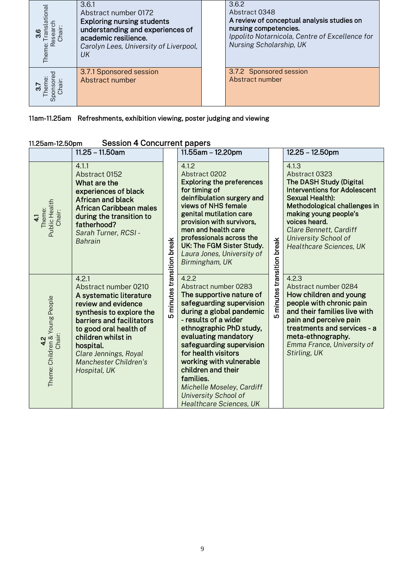| ationa<br>Theme: | 3.6.1<br>Abstract number 0172<br><b>Exploring nursing students</b><br>understanding and experiences of<br>academic resilience.<br>Carolyn Lees, University of Liverpool,<br>UК | 3.6.2<br>Abstract 0348<br>A review of conceptual analysis studies on<br>nursing competencies.<br>Ippolito Notarnicola, Centre of Excellence for<br>Nursing Scholarship, UK |
|------------------|--------------------------------------------------------------------------------------------------------------------------------------------------------------------------------|----------------------------------------------------------------------------------------------------------------------------------------------------------------------------|
| Spo              | 3.7.1 Sponsored session<br>Abstract number                                                                                                                                     | 3.7.2 Sponsored session<br>Abstract number                                                                                                                                 |

## 11am-11.25am Refreshments, exhibition viewing, poster judging and viewing

## 11.25am-12.50pm Session 4 Concurrent papers

|                                                   | 11.25 - 11.50am                                                                                                                                                                                                                                                         |                               | 11.55am - 12.20pm                                                                                                                                                                                                                                                                                                                                                                                           |                            | 12.25 - 12.50pm                                                                                                                                                                                                                                                                                |
|---------------------------------------------------|-------------------------------------------------------------------------------------------------------------------------------------------------------------------------------------------------------------------------------------------------------------------------|-------------------------------|-------------------------------------------------------------------------------------------------------------------------------------------------------------------------------------------------------------------------------------------------------------------------------------------------------------------------------------------------------------------------------------------------------------|----------------------------|------------------------------------------------------------------------------------------------------------------------------------------------------------------------------------------------------------------------------------------------------------------------------------------------|
| Public Health<br>Theme:<br>Chair:<br>$\mathbf{1}$ | 4.1.1<br>Abstract 0152<br>What are the<br>experiences of black<br><b>African and black</b><br><b>African Caribbean males</b><br>during the transition to<br>fatherhood?<br>Sarah Turner, RCSI -<br><b>Bahrain</b>                                                       |                               | 4.1.2<br>Abstract 0202<br><b>Exploring the preferences</b><br>for timing of<br>deinfibulation surgery and<br>views of NHS female<br>genital mutilation care<br>provision with survivors,<br>men and health care<br>professionals across the<br>UK: The FGM Sister Study.<br>Laura Jones, University of<br>Birmingham, UK                                                                                    |                            | 4.1.3<br>Abstract 0323<br><b>The DASH Study (Digital</b><br><b>Interventions for Adolescent</b><br><b>Sexual Health):</b><br>Methodological challenges in<br>making young people's<br>voices heard.<br><b>Clare Bennett, Cardiff</b><br>University School of<br><b>Healthcare Sciences, UK</b> |
| Theme: Children & Young People<br>Chair:          | 4.2.1<br>Abstract number 0210<br>A systematic literature<br>review and evidence<br>synthesis to explore the<br>barriers and facilitators<br>to good oral health of<br>children whilst in<br>hospital.<br>Clare Jennings, Royal<br>Manchester Children's<br>Hospital, UK | minutes transition break<br>ഥ | 4.2.2<br>Abstract number 0283<br>The supportive nature of<br>safeguarding supervision<br>during a global pandemic<br>- results of a wider<br>ethnographic PhD study,<br>evaluating mandatory<br>safeguarding supervision<br>for health visitors<br>working with vulnerable<br>children and their<br>families.<br>Michelle Moseley, Cardiff<br><b>University School of</b><br><b>Healthcare Sciences, UK</b> | 5 minutes transition break | 4.2.3<br>Abstract number 0284<br>How children and young<br>people with chronic pain<br>and their families live with<br>pain and perceive pain<br>treatments and services - a<br>meta-ethnography.<br>Emma France, University of<br>Stirling, UK                                                |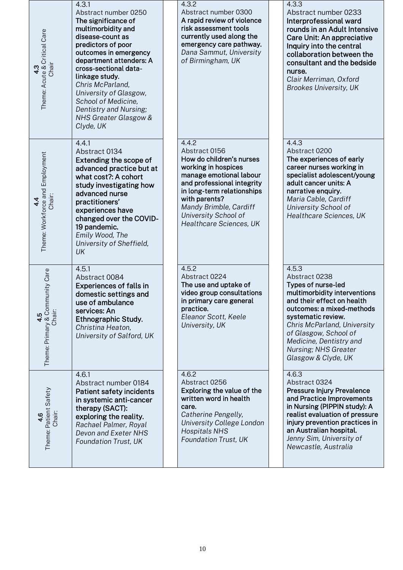| 4.3<br>Theme: Acute & Critical Care<br>Chair                 | 4.3.1<br>Abstract number 0250<br>The significance of<br>multimorbidity and<br>disease-count as<br>predictors of poor<br>outcomes in emergency<br>department attenders: A<br>cross-sectional data-<br>linkage study.<br>Chris McParland,<br>University of Glasgow,<br>School of Medicine,<br>Dentistry and Nursing;<br>NHS Greater Glasgow &<br>Clyde, UK | 4.3.2<br>Abstract number 0300<br>A rapid review of violence<br>risk assessment tools<br>currently used along the<br>emergency care pathway.<br>Dana Sammut, University<br>of Birmingham, UK                                                                    | 4.3.3<br>Abstract number 0233<br>Interprofessional ward<br>rounds in an Adult Intensive<br>Care Unit: An appreciative<br>Inquiry into the central<br>collaboration between the<br>consultant and the bedside<br>nurse.<br>Clair Merriman, Oxford<br><b>Brookes University, UK</b>               |
|--------------------------------------------------------------|----------------------------------------------------------------------------------------------------------------------------------------------------------------------------------------------------------------------------------------------------------------------------------------------------------------------------------------------------------|----------------------------------------------------------------------------------------------------------------------------------------------------------------------------------------------------------------------------------------------------------------|-------------------------------------------------------------------------------------------------------------------------------------------------------------------------------------------------------------------------------------------------------------------------------------------------|
| Theme: Workforce and Employment<br>Chair:<br>$4\overline{4}$ | 4.4.1<br>Abstract 0134<br>Extending the scope of<br>advanced practice but at<br>what cost?: A cohort<br>study investigating how<br>advanced nurse<br>practitioners'<br>experiences have<br>changed over the COVID-<br>19 pandemic.<br>Emily Wood, The<br>University of Sheffield,<br>UK                                                                  | 4.4.2<br>Abstract 0156<br>How do children's nurses<br>working in hospices<br>manage emotional labour<br>and professional integrity<br>in long-term relationships<br>with parents?<br>Mandy Brimble, Cardiff<br>University School of<br>Healthcare Sciences, UK | 4.4.3<br>Abstract 0200<br>The experiences of early<br>career nurses working in<br>specialist adolescent/young<br>adult cancer units: A<br>narrative enquiry.<br>Maria Cable, Cardiff<br>University School of<br>Healthcare Sciences, UK                                                         |
| munity Care<br>4.5<br>Theme: Primary & Comm<br>Chair:        | 4.5.1<br>Abstract 0084<br><b>Experiences of falls in</b><br>domestic settings and<br>use of ambulance<br>services: An<br>Ethnographic Study.<br>Christina Heaton,<br>University of Salford, UK                                                                                                                                                           | 4.5.2<br>Abstract 0224<br>The use and uptake of<br>video group consultations<br>in primary care general<br>practice.<br>Eleanor Scott, Keele<br>University, UK                                                                                                 | 4.5.3<br>Abstract 0238<br>Types of nurse-led<br>multimorbidity interventions<br>and their effect on health<br>outcomes: a mixed-methods<br>systematic review.<br>Chris McParland, University<br>of Glasgow, School of<br>Medicine, Dentistry and<br>Nursing; NHS Greater<br>Glasgow & Clyde, UK |
| Theme: Patient Safety<br>Chair:<br>4.6                       | 4.6.1<br>Abstract number 0184<br><b>Patient safety incidents</b><br>in systemic anti-cancer<br>therapy (SACT):<br>exploring the reality.<br>Rachael Palmer, Royal<br>Devon and Exeter NHS<br><b>Foundation Trust, UK</b>                                                                                                                                 | 4.6.2<br>Abstract 0256<br>Exploring the value of the<br>written word in health<br>care.<br>Catherine Pengelly,<br>University College London<br><b>Hospitals NHS</b><br>Foundation Trust, UK                                                                    | 4.6.3<br>Abstract 0324<br>Pressure Injury Prevalence<br>and Practice Improvements<br>in Nursing (PIPPIN study): A<br>realist evaluation of pressure<br>injury prevention practices in<br>an Australian hospital.<br>Jenny Sim, University of<br>Newcastle, Australia                            |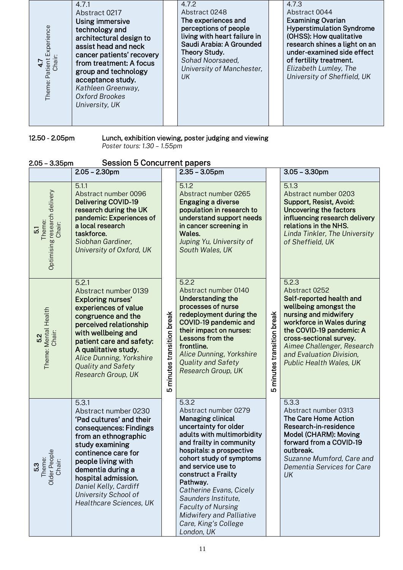| 4.7.1<br>Abstract 0217<br>Using immersive<br>Experience<br>technology and<br>architectural design to<br>assist head and neck<br>cancer patients' recovery<br>Theme: Patient<br>Chair<br>from treatment: A focus<br>group and technology<br>acceptance study.<br>Kathleen Greenway,<br>Oxford Brookes<br>University, UK | 4.7.2<br>Abstract 0248<br>The experiences and<br>perceptions of people<br>living with heart failure in<br>Saudi Arabia: A Grounded<br>Theory Study.<br>Sohad Noorsaeed,<br>University of Manchester,<br>UK | 4.7.3<br>Abstract 0044<br><b>Examining Ovarian</b><br><b>Hyperstimulation Syndrome</b><br>(OHSS): How qualitative<br>research shines a light on an<br>under-examined side effect<br>of fertility treatment.<br>Elizabeth Lumley, The<br>University of Sheffield, UK |
|------------------------------------------------------------------------------------------------------------------------------------------------------------------------------------------------------------------------------------------------------------------------------------------------------------------------|------------------------------------------------------------------------------------------------------------------------------------------------------------------------------------------------------------|---------------------------------------------------------------------------------------------------------------------------------------------------------------------------------------------------------------------------------------------------------------------|
|------------------------------------------------------------------------------------------------------------------------------------------------------------------------------------------------------------------------------------------------------------------------------------------------------------------------|------------------------------------------------------------------------------------------------------------------------------------------------------------------------------------------------------------|---------------------------------------------------------------------------------------------------------------------------------------------------------------------------------------------------------------------------------------------------------------------|

12.50 - 2.05pm

12.50 - 2.05pm Lunch, exhibition viewing, poster judging and viewing *Poster tours: 1.30 – 1.55pm*

| <b>Session 5 Concurrent papers</b><br>$2.05 - 3.35$ pm             |                                                                                                                                                                                                                                                                                                     |                                       |                                                                                                                                                                                                                                                                                                                                                                                                                |                               |                                                                                                                                                                                                                                                                               |
|--------------------------------------------------------------------|-----------------------------------------------------------------------------------------------------------------------------------------------------------------------------------------------------------------------------------------------------------------------------------------------------|---------------------------------------|----------------------------------------------------------------------------------------------------------------------------------------------------------------------------------------------------------------------------------------------------------------------------------------------------------------------------------------------------------------------------------------------------------------|-------------------------------|-------------------------------------------------------------------------------------------------------------------------------------------------------------------------------------------------------------------------------------------------------------------------------|
|                                                                    | $2.05 - 2.30$ pm                                                                                                                                                                                                                                                                                    |                                       | $2.35 - 3.05$ pm                                                                                                                                                                                                                                                                                                                                                                                               |                               | $3.05 - 3.30$ pm                                                                                                                                                                                                                                                              |
| Optimising research delivery<br>Theme:<br>Chair:<br>$\overline{5}$ | 5.1.1<br>Abstract number 0096<br><b>Delivering COVID-19</b><br>research during the UK<br>pandemic: Experiences of<br>a local research<br>taskforce.<br>Siobhan Gardiner,<br>University of Oxford, UK                                                                                                |                                       | 5.1.2<br>Abstract number 0265<br>Engaging a diverse<br>population in research to<br>understand support needs<br>in cancer screening in<br>Wales.<br>Juping Yu, University of<br>South Wales, UK                                                                                                                                                                                                                |                               | 5.1.3<br>Abstract number 0203<br>Support, Resist, Avoid:<br><b>Uncovering the factors</b><br>influencing research delivery<br>relations in the NHS.<br>Linda Tinkler, The University<br>of Sheffield, UK                                                                      |
| Theme: Mental Health<br>Chair:<br>5.2                              | 5.2.1<br>Abstract number 0139<br><b>Exploring nurses'</b><br>experiences of value<br>congruence and the<br>perceived relationship<br>with wellbeing and<br>patient care and safety:<br>A qualitative study.<br>Alice Dunning, Yorkshire<br>Quality and Safety<br>Research Group, UK                 | minutes transition break<br><b>LO</b> | 5.2.2<br>Abstract number 0140<br><b>Understanding the</b><br>processes of nurse<br>redeployment during the<br>COVID-19 pandemic and<br>their impact on nurses:<br>Lessons from the<br>frontline.<br>Alice Dunning, Yorkshire<br>Quality and Safety<br>Research Group, UK                                                                                                                                       | minutes transition break<br>Ю | 5.2.3<br>Abstract 0252<br>Self-reported health and<br>wellbeing amongst the<br>nursing and midwifery<br>workforce in Wales during<br>the COVID-19 pandemic: A<br>cross-sectional survey.<br>Aimee Challenger, Research<br>and Evaluation Division,<br>Public Health Wales, UK |
| 5.3<br>Theme:<br>Older People<br>Chair:                            | 5.3.1<br>Abstract number 0230<br>'Pad cultures' and their<br>consequences: Findings<br>from an ethnographic<br>study examining<br>continence care for<br>people living with<br>dementia during a<br>hospital admission.<br>Daniel Kelly, Cardiff<br>University School of<br>Healthcare Sciences, UK |                                       | 5.3.2<br>Abstract number 0279<br>Managing clinical<br>uncertainty for older<br>adults with multimorbidity<br>and frailty in community<br>hospitals: a prospective<br>cohort study of symptoms<br>and service use to<br>construct a Frailty<br>Pathway.<br>Catherine Evans, Cicely<br>Saunders Institute.<br><b>Faculty of Nursing</b><br><b>Midwifery and Palliative</b><br>Care, King's College<br>London, UK |                               | 5.3.3<br>Abstract number 0313<br>The Care Home Action<br>Research-in-residence<br>Model (CHARM): Moving<br>forward from a COVID-19<br>outbreak.<br>Suzanne Mumford, Care and<br>Dementia Services for Care<br>UK                                                              |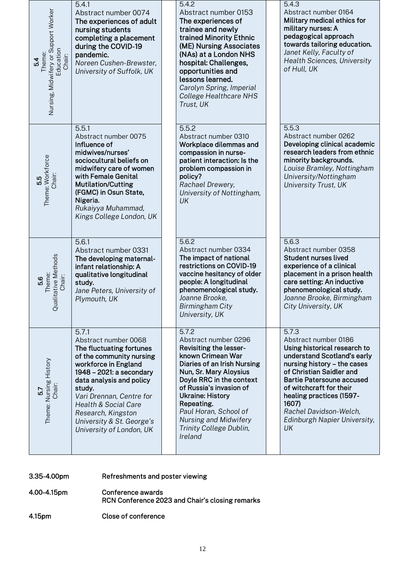| Nursing, Midwifery or Support Worker<br>Education<br>Theme:<br>Chair:<br>54 | 5.4.1<br>Abstract number 0074<br>The experiences of adult<br>nursing students<br>completing a placement<br>during the COVID-19<br>pandemic.<br>Noreen Cushen-Brewster,<br>University of Suffolk, UK                                                                                                                | 5.4.2<br>Abstract number 0153<br>The experiences of<br>trainee and newly<br>trained Minority Ethnic<br>(ME) Nursing Associates<br>(NAs) at a London NHS<br>hospital: Challenges,<br>opportunities and<br>lessons learned.<br>Carolyn Spring, Imperial<br>College Healthcare NHS<br>Trust, UK                                         | 5.4.3<br>Abstract number 0164<br>Military medical ethics for<br>military nurses: A<br>pedagogical approach<br>towards tailoring education.<br>Janet Kelly, Faculty of<br><b>Health Sciences, University</b><br>of Hull, UK                                                                                                  |
|-----------------------------------------------------------------------------|--------------------------------------------------------------------------------------------------------------------------------------------------------------------------------------------------------------------------------------------------------------------------------------------------------------------|--------------------------------------------------------------------------------------------------------------------------------------------------------------------------------------------------------------------------------------------------------------------------------------------------------------------------------------|-----------------------------------------------------------------------------------------------------------------------------------------------------------------------------------------------------------------------------------------------------------------------------------------------------------------------------|
| Theme: Workforce<br>Chair:<br>55                                            | 5.5.1<br>Abstract number 0075<br>Influence of<br>midwives/nurses'<br>sociocultural beliefs on<br>midwifery care of women<br>with Female Genital<br><b>Mutilation/Cutting</b><br>(FGMC) in Osun State,<br>Nigeria.<br>Rukaiyya Muhammad,<br>Kings College London, UK                                                | 5.5.2<br>Abstract number 0310<br>Workplace dilemmas and<br>compassion in nurse-<br>patient interaction: Is the<br>problem compassion in<br>policy?<br>Rachael Drewery,<br>University of Nottingham,<br>UK                                                                                                                            | 5.5.3<br>Abstract number 0262<br>Developing clinical academic<br>research leaders from ethnic<br>minority backgrounds.<br>Louise Bramley, Nottingham<br>University/Nottingham<br><b>University Trust, UK</b>                                                                                                                |
| alitative Methods<br>Theme:<br>Chair:<br>5.6<br>$\tilde{d}$                 | 5.6.1<br>Abstract number 0331<br>The developing maternal-<br>infant relationship: A<br>qualitative longitudinal<br>study.<br>Jane Peters, University of<br>Plymouth, UK                                                                                                                                            | 5.6.2<br>Abstract number 0334<br>The impact of national<br>restrictions on COVID-19<br>vaccine hesitancy of older<br>people: A longitudinal<br>phenomenological study.<br>Joanne Brooke,<br><b>Birmingham City</b><br>University, UK                                                                                                 | 5.6.3<br>Abstract number 0358<br><b>Student nurses lived</b><br>experience of a clinical<br>placement in a prison health<br>care setting: An inductive<br>phenomenological study.<br>Joanne Brooke, Birmingham<br>City University, UK                                                                                       |
| Theme: Nursing History<br>Chair:<br>57                                      | 5.7.1<br>Abstract number 0068<br>The fluctuating fortunes<br>of the community nursing<br>workforce in England<br>1948 - 2021: a secondary<br>data analysis and policy<br>study.<br>Vari Drennan, Centre for<br>Health & Social Care<br>Research, Kingston<br>University & St. George's<br>University of London, UK | 5.7.2<br>Abstract number 0296<br>Revisiting the lesser-<br>known Crimean War<br>Diaries of an Irish Nursing<br>Nun, Sr. Mary Aloysius<br>Doyle RRC in the context<br>of Russia's invasion of<br><b>Ukraine: History</b><br>Repeating.<br>Paul Horan, School of<br><b>Nursing and Midwifery</b><br>Trinity College Dublin,<br>Ireland | 5.7.3<br>Abstract number 0186<br>Using historical research to<br>understand Scotland's early<br>nursing history - the cases<br>of Christian Saidler and<br><b>Bartie Patersoune accused</b><br>of witchcraft for their<br>healing practices (1597-<br>1607)<br>Rachel Davidson-Welch,<br>Edinburgh Napier University,<br>UK |

3.35-4.00pm Refreshments and poster viewing

- 4.00-4.15pm Conference awards RCN Conference 2023 and Chair's closing remarks
- 4.15pm Close of conference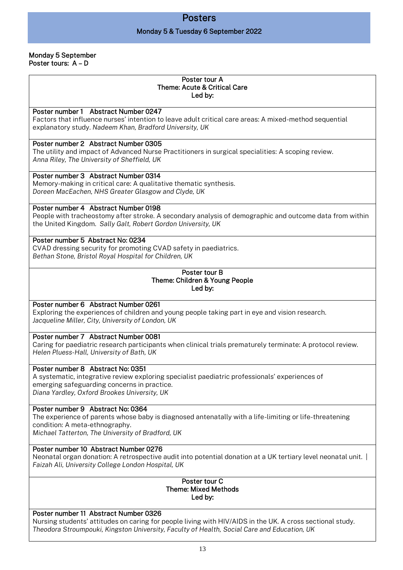## Posters

#### Monday 5 & Tuesday 6 September 2022

#### Monday 5 September Poster tours: A – D

#### Poster tour A Theme: Acute & Critical Care Led by:

#### Poster number 1 Abstract Number 0247

Factors that influence nurses' intention to leave adult critical care areas: A mixed-method sequential explanatory study. *Nadeem Khan, Bradford University, UK*

#### Poster number 2 Abstract Number 0305

The utility and impact of Advanced Nurse Practitioners in surgical specialities: A scoping review. *Anna Riley, The University of Sheffield, UK*

#### Poster number 3 Abstract Number 0314

Memory-making in critical care: A qualitative thematic synthesis. *Doreen MacEachen, NHS Greater Glasgow and Clyde, UK*

#### Poster number 4 Abstract Number 0198

People with tracheostomy after stroke. A secondary analysis of demographic and outcome data from within the United Kingdom. *Sally Galt, Robert Gordon University, UK*

#### Poster number 5 Abstract No: 0234

CVAD dressing security for promoting CVAD safety in paediatrics. *Bethan Stone, Bristol Royal Hospital for Children, UK*

#### Poster tour B Theme: Children & Young People Led by:

#### Poster number 6 Abstract Number 0261

Exploring the experiences of children and young people taking part in eye and vision research. *Jacqueline Miller, City, University of London, UK*

#### Poster number 7 Abstract Number 0081

Caring for paediatric research participants when clinical trials prematurely terminate: A protocol review. *Helen Pluess-Hall, University of Bath, UK*

#### Poster number 8 Abstract No: 0351

A systematic, integrative review exploring specialist paediatric professionals' experiences of emerging safeguarding concerns in practice. *Diana Yardley, Oxford Brookes University, UK*

#### Poster number 9 Abstract No: 0364

The experience of parents whose baby is diagnosed antenatally with a life-limiting or life-threatening condition: A meta-ethnography. *Michael Tatterton, The University of Bradford, UK*

#### Poster number 10 Abstract Number 0276

Neonatal organ donation: A retrospective audit into potential donation at a UK tertiary level neonatal unit. | *Faizah Ali, University College London Hospital, UK*

#### Poster tour C Theme: Mixed Methods Led by:

#### Poster number 11 Abstract Number 0326

Nursing students' attitudes on caring for people living with HIV/AIDS in the UK. A cross sectional study. *Theodora Stroumpouki, Kingston University, Faculty of Health, Social Care and Education, UK*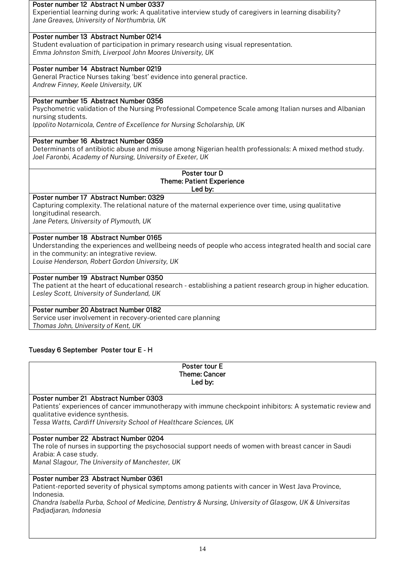#### Poster number 12 Abstract N umber 0337

Experiential learning during work: A qualitative interview study of caregivers in learning disability? *Jane Greaves, University of Northumbria, UK*

## Poster number 13 Abstract Number 0214

Student evaluation of participation in primary research using visual representation. *Emma Johnston Smith, Liverpool John Moores University, UK*

## Poster number 14 Abstract Number 0219

General Practice Nurses taking 'best' evidence into general practice. *Andrew Finney, Keele University, UK*

## Poster number 15 Abstract Number 0356

Psychometric validation of the Nursing Professional Competence Scale among Italian nurses and Albanian nursing students.

*Ippolito Notarnicola, Centre of Excellence for Nursing Scholarship, UK*

## Poster number 16 Abstract Number 0359

Determinants of antibiotic abuse and misuse among Nigerian health professionals: A mixed method study. *Joel Faronbi, Academy of Nursing, University of Exeter, UK*

#### Poster tour D Theme: Patient Experience Led by:

Poster number 17 Abstract Number: 0329

Capturing complexity. The relational nature of the maternal experience over time, using qualitative longitudinal research.

*Jane Peters, University of Plymouth, UK*

## Poster number 18 Abstract Number 0165

Understanding the experiences and wellbeing needs of people who access integrated health and social care in the community: an integrative review.

*Louise Henderson, Robert Gordon University, UK*

## Poster number 19 Abstract Number 0350

The patient at the heart of educational research - establishing a patient research group in higher education. *Lesley Scott, University of Sunderland, UK*

## Poster number 20 Abstract Number 0182

Service user involvement in recovery-oriented care planning *Thomas John, University of Kent, UK*

## Tuesday 6 September Poster tour E - H

| Poster tour E<br>Theme: Cancer<br>Led by:                                                                                                                                                                                                                 |
|-----------------------------------------------------------------------------------------------------------------------------------------------------------------------------------------------------------------------------------------------------------|
| Poster number 21 Abstract Number 0303<br>Patients' experiences of cancer immunotherapy with immune checkpoint inhibitors: A systematic review and<br>qualitative evidence synthesis.<br>Tessa Watts, Cardiff University School of Healthcare Sciences, UK |
| Poster number 22 Abstract Number 0204<br>The role of nurses in supporting the psychosocial support needs of women with breast cancer in Saudi<br>Arabia: A case study.<br>Manal Slagour, The University of Manchester, UK                                 |

## Poster number 23 Abstract Number 0361

Patient-reported severity of physical symptoms among patients with cancer in West Java Province, Indonesia.

*Chandra Isabella Purba, School of Medicine, Dentistry & Nursing, University of Glasgow, UK & Universitas Padjadjaran, Indonesia*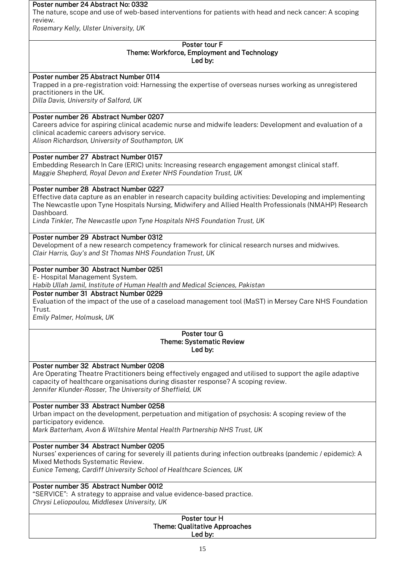#### Poster number 24 Abstract No: 0332

The nature, scope and use of web-based interventions for patients with head and neck cancer: A scoping review.

*Rosemary Kelly, Ulster University, UK*

#### Poster tour F Theme: Workforce, Employment and Technology Led by:

## Poster number 25 Abstract Number 0114

Trapped in a pre-registration void: Harnessing the expertise of overseas nurses working as unregistered practitioners in the UK.

*Dilla Davis, University of Salford, UK*

## Poster number 26 Abstract Number 0207

Careers advice for aspiring clinical academic nurse and midwife leaders: Development and evaluation of a clinical academic careers advisory service.

*Alison Richardson, University of Southampton, UK*

## Poster number 27 Abstract Number 0157

Embedding Research In Care (ERIC) units: Increasing research engagement amongst clinical staff. *Maggie Shepherd, Royal Devon and Exeter NHS Foundation Trust, UK*

## Poster number 28 Abstract Number 0227

Effective data capture as an enabler in research capacity building activities: Developing and implementing The Newcastle upon Tyne Hospitals Nursing, Midwifery and Allied Health Professionals (NMAHP) Research Dashboard.

*Linda Tinkler, The Newcastle upon Tyne Hospitals NHS Foundation Trust, UK*

## Poster number 29 Abstract Number 0312

Development of a new research competency framework for clinical research nurses and midwives. *Clair Harris, Guy's and St Thomas NHS Foundation Trust, UK*

## Poster number 30 Abstract Number 0251

E- Hospital Management System.

*Habib Ullah Jamil, Institute of Human Health and Medical Sciences, Pakistan*

## Poster number 31 Abstract Number 0229

Evaluation of the impact of the use of a caseload management tool (MaST) in Mersey Care NHS Foundation Trust.

*Emily Palmer, Holmusk, UK*

#### Poster tour G Theme: Systematic Review Led by:

## Poster number 32 Abstract Number 0208

Are Operating Theatre Practitioners being effectively engaged and utilised to support the agile adaptive capacity of healthcare organisations during disaster response? A scoping review. *Jennifer Klunder-Rosser, The University of Sheffield, UK*

## Poster number 33 Abstract Number 0258

Urban impact on the development, perpetuation and mitigation of psychosis: A scoping review of the participatory evidence.

*Mark Batterham, Avon & Wiltshire Mental Health Partnership NHS Trust, UK*

## Poster number 34 Abstract Number 0205

Nurses' experiences of caring for severely ill patients during infection outbreaks (pandemic / epidemic): A Mixed Methods Systematic Review.

*Eunice Temeng, Cardiff University School of Healthcare Sciences, UK*

## Poster number 35 Abstract Number 0012

"SERVICE": A strategy to appraise and value evidence-based practice.

*Chrysi Leliopoulou, Middlesex University, UK*

#### Poster tour H Theme: Qualitative Approaches Led by: